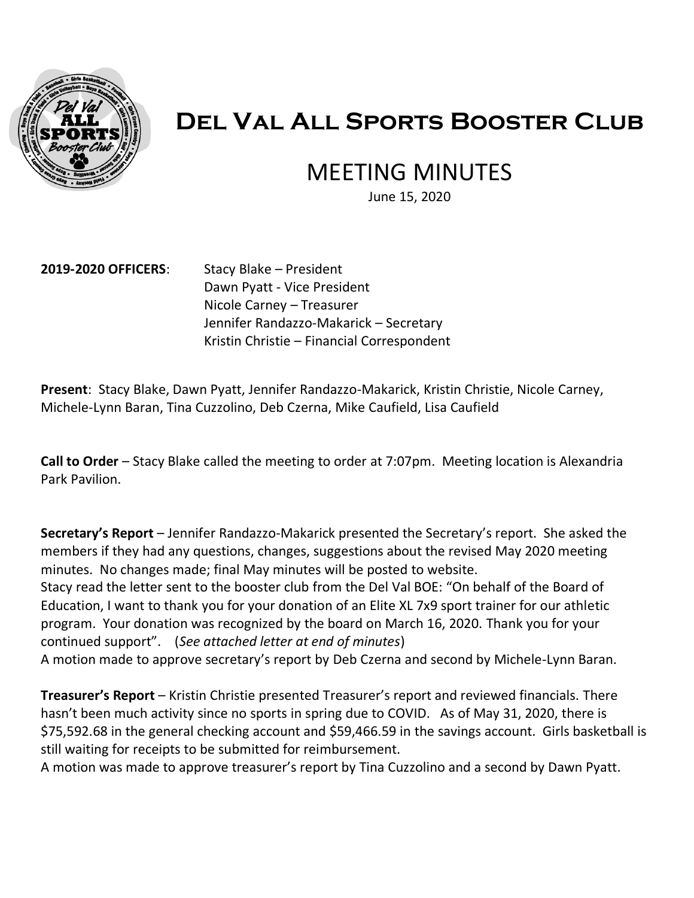

## **Del Val All Sports Booster Club**

### MEETING MINUTES

June 15, 2020

#### **2019-2020 OFFICERS**: Stacy Blake – President

 Dawn Pyatt - Vice President Nicole Carney – Treasurer Jennifer Randazzo-Makarick – Secretary Kristin Christie – Financial Correspondent

 **Present**: Stacy Blake, Dawn Pyatt, Jennifer Randazzo-Makarick, Kristin Christie, Nicole Carney, Michele-Lynn Baran, Tina Cuzzolino, Deb Czerna, Mike Caufield, Lisa Caufield

 **Call to Order** – Stacy Blake called the meeting to order at 7:07pm. Meeting location is Alexandria Park Pavilion.

 **Secretary's Report** – Jennifer Randazzo-Makarick presented the Secretary's report. She asked the members if they had any questions, changes, suggestions about the revised May 2020 meeting minutes. No changes made; final May minutes will be posted to website.

 Stacy read the letter sent to the booster club from the Del Val BOE: "On behalf of the Board of Education, I want to thank you for your donation of an Elite XL 7x9 sport trainer for our athletic program. Your donation was recognized by the board on March 16, 2020. Thank you for your continued support". (*See attached letter at end of minutes*)

A motion made to approve secretary's report by Deb Czerna and second by Michele-Lynn Baran.

 **Treasurer's Report** – Kristin Christie presented Treasurer's report and reviewed financials. There hasn't been much activity since no sports in spring due to COVID. As of May 31, 2020, there is [\\$75,592.68](https://75,592.68) in the general checking account and [\\$59,466.59](https://59,466.59) in the savings account. Girls basketball is still waiting for receipts to be submitted for reimbursement.

A motion was made to approve treasurer's report by Tina Cuzzolino and a second by Dawn Pyatt.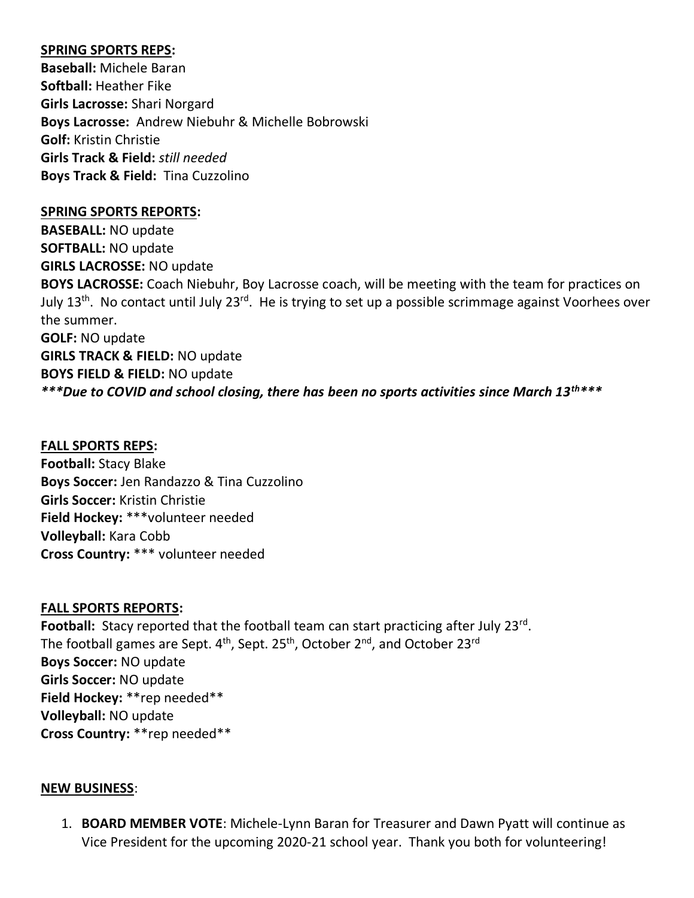#### **SPRING SPORTS REPS:**

 **Girls Lacrosse:** Shari Norgard  **Boys Lacrosse:** Andrew Niebuhr & Michelle Bobrowski  **Girls Track & Field:** *still needed*   **Boys Track & Field:** Tina Cuzzolino **Baseball:** Michele Baran **Softball:** Heather Fike **Golf:** Kristin Christie

#### **SPRING SPORTS REPORTS:**

 **GIRLS LACROSSE:** NO update  **BOYS LACROSSE:** Coach Niebuhr, Boy Lacrosse coach, will be meeting with the team for practices on July 13<sup>th</sup>. No contact until July 23<sup>rd</sup>. He is trying to set up a possible scrimmage against Voorhees over  **GIRLS TRACK & FIELD:** NO update  **BOYS FIELD & FIELD:** NO update  *\*\*\*Due to COVID and school closing, there has been no sports activities since March 13th\*\*\**  **BASEBALL:** NO update **SOFTBALL:** NO update the summer. **GOLF:** NO update

#### **FALL SPORTS REPS:**

 **Boys Soccer:** Jen Randazzo & Tina Cuzzolino  **Girls Soccer:** Kristin Christie  **Cross Country:** \*\*\* volunteer needed **Football:** Stacy Blake **Field Hockey:** \*\*\*volunteer needed **Volleyball:** Kara Cobb

#### **FALL SPORTS REPORTS:**

Football: Stacy reported that the football team can start practicing after July 23<sup>rd</sup>.  **Boys Soccer:** NO update  **Girls Soccer:** NO update  **Cross Country:** \*\*rep needed\*\* The football games are Sept.  $4<sup>th</sup>$ , Sept. 25<sup>th</sup>, October 2<sup>nd</sup>, and October 23<sup>rd</sup> **Field Hockey:** \*\*rep needed\*\* **Volleyball:** NO update

#### **NEW BUSINESS**:

 1. **BOARD MEMBER VOTE**: Michele-Lynn Baran for Treasurer and Dawn Pyatt will continue as Vice President for the upcoming 2020-21 school year. Thank you both for volunteering!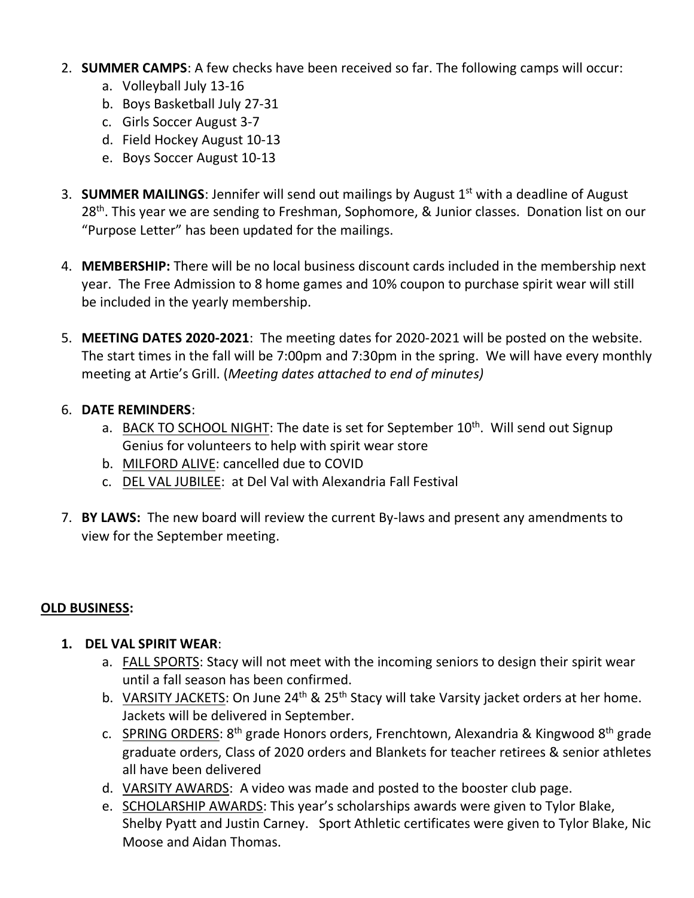- 2. **SUMMER CAMPS**: A few checks have been received so far. The following camps will occur:
	- a. Volleyball July 13-16
	- b. Boys Basketball July 27-31
	- c. Girls Soccer August 3-7
	- d. Field Hockey August 10-13
	- e. Boys Soccer August 10-13
- 3. **SUMMER MAILINGS**: Jennifer will send out mailings by August 1st with a deadline of August 28<sup>th</sup>. This year we are sending to Freshman, Sophomore, & Junior classes. Donation list on our "Purpose Letter" has been updated for the mailings.
- 4. **MEMBERSHIP:** There will be no local business discount cards included in the membership next year. The Free Admission to 8 home games and 10% coupon to purchase spirit wear will still be included in the yearly membership.
- 5. **MEETING DATES 2020-2021**: The meeting dates for 2020-2021 will be posted on the website. The start times in the fall will be 7:00pm and 7:30pm in the spring. We will have every monthly meeting at Artie's Grill. (*Meeting dates attached to end of minutes)*

#### 6. **DATE REMINDERS**:

- a. BACK TO SCHOOL NIGHT: The date is set for September 10<sup>th</sup>. Will send out Signup Genius for volunteers to help with spirit wear store
- b. MILFORD ALIVE: cancelled due to COVID
- c. DEL VAL JUBILEE: at Del Val with Alexandria Fall Festival
- 7. **BY LAWS:** The new board will review the current By-laws and present any amendments to view for the September meeting.

#### **OLD BUSINESS:**

- **1. DEL VAL SPIRIT WEAR**:
	- a. FALL SPORTS: Stacy will not meet with the incoming seniors to design their spirit wear until a fall season has been confirmed.
	- b. VARSITY JACKETS: On June 24<sup>th</sup> & 25<sup>th</sup> Stacy will take Varsity jacket orders at her home. Jackets will be delivered in September.
	- c. SPRING ORDERS: 8<sup>th</sup> grade Honors orders, Frenchtown, Alexandria & Kingwood 8<sup>th</sup> grade graduate orders, Class of 2020 orders and Blankets for teacher retirees & senior athletes all have been delivered
	- d. VARSITY AWARDS: A video was made and posted to the booster club page.
	- e. SCHOLARSHIP AWARDS: This year's scholarships awards were given to Tylor Blake, Shelby Pyatt and Justin Carney. Sport Athletic certificates were given to Tylor Blake, Nic Moose and Aidan Thomas.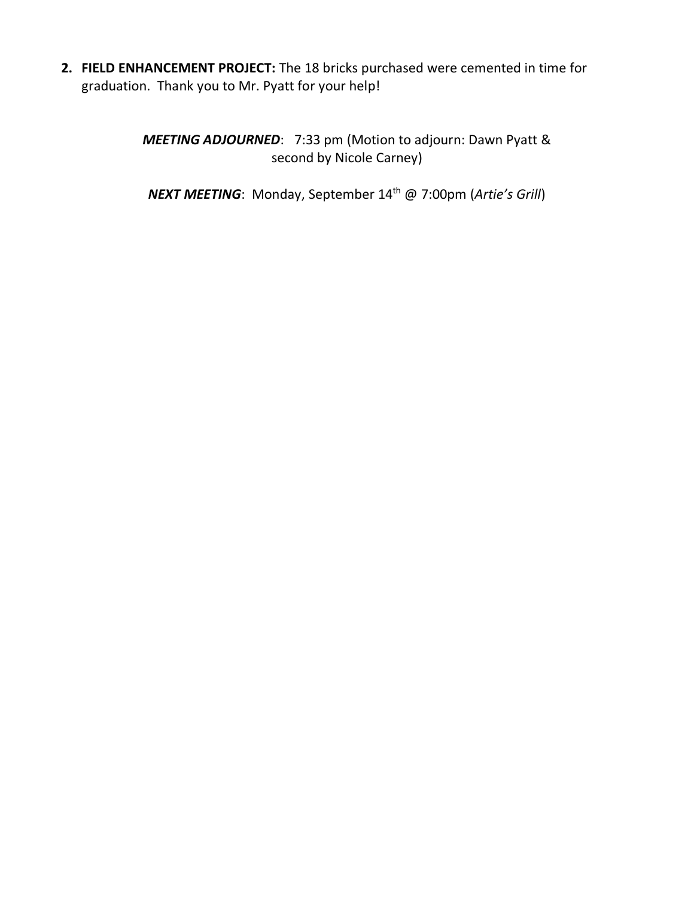**2. FIELD ENHANCEMENT PROJECT:** The 18 bricks purchased were cemented in time for graduation. Thank you to Mr. Pyatt for your help!

> *MEETING ADJOURNED*: 7:33 pm (Motion to adjourn: Dawn Pyatt & second by Nicole Carney)

*NEXT MEETING*: Monday, September 14th @ 7:00pm (*Artie's Grill*)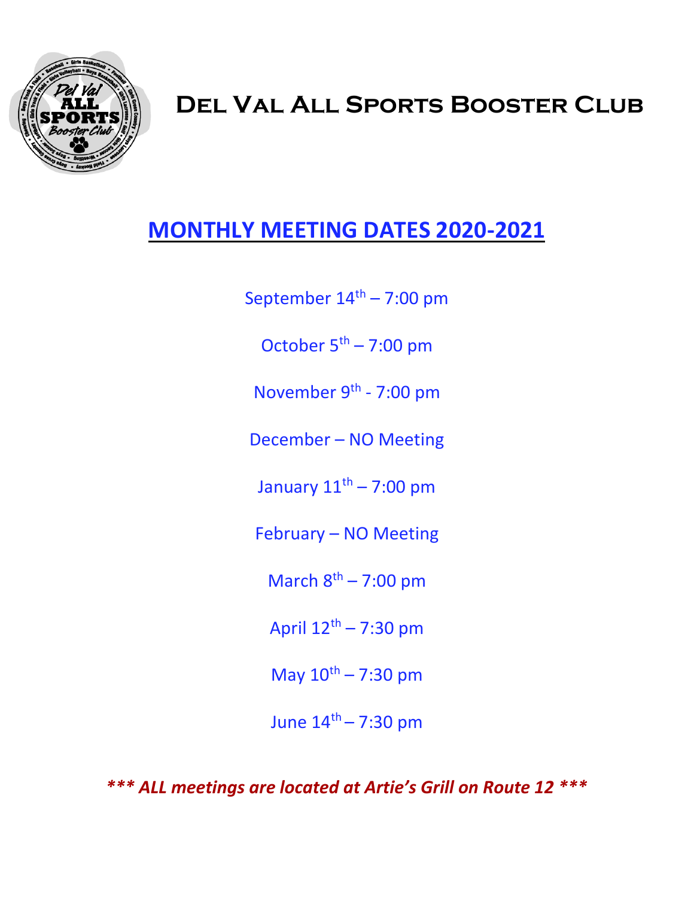

# **Del Val All Sports Booster Club**

## **MONTHLY MEETING DATES 2020-2021**

September  $14<sup>th</sup> - 7:00$  pm

October  $5<sup>th</sup> - 7:00$  pm

November 9<sup>th</sup> - 7:00 pm

December – NO Meeting

January  $11<sup>th</sup> - 7:00$  pm

February – NO Meeting

March  $8<sup>th</sup> - 7:00$  pm

April  $12^{\text{th}}$  – 7:30 pm

May  $10^{th} - 7:30$  pm

June  $14^{th} - 7:30$  pm

 *\*\*\* ALL meetings are located at Artie's Grill on Route 12 \*\*\**